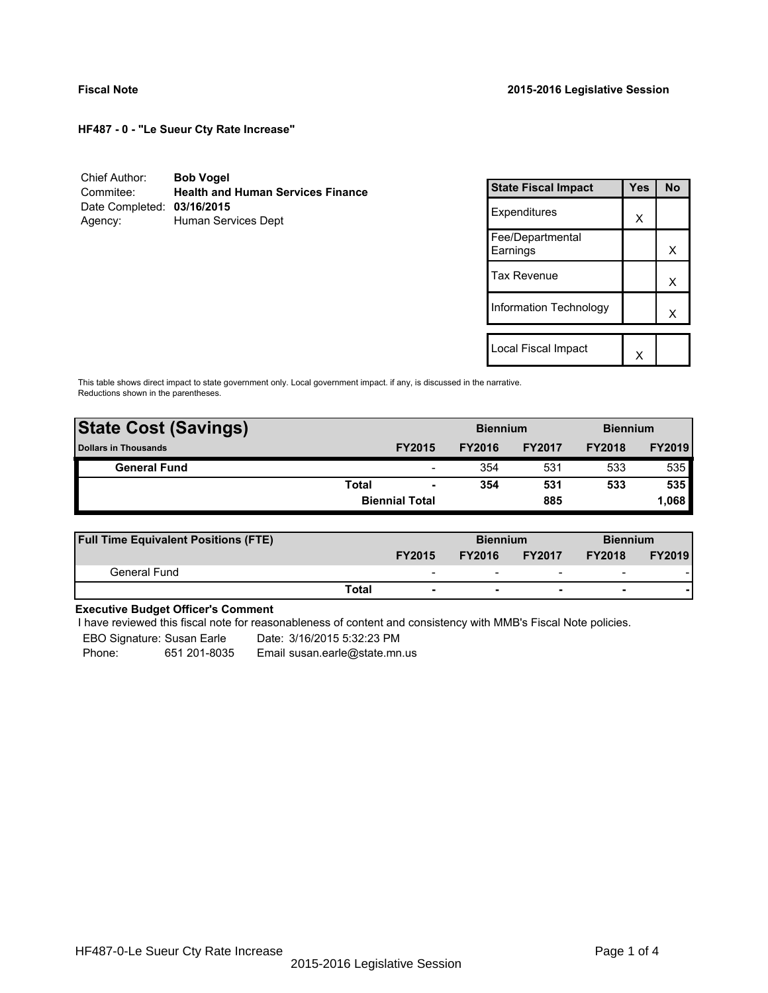**HF487 - 0 - "Le Sueur Cty Rate Increase"**

| Chief Author:              | <b>Bob Vogel</b>                         |
|----------------------------|------------------------------------------|
| Commitee:                  | <b>Health and Human Services Finance</b> |
| Date Completed: 03/16/2015 |                                          |
| Agency:                    | Human Services Dept                      |

| <b>State Fiscal Impact</b>   | Yes | <b>No</b> |
|------------------------------|-----|-----------|
| Expenditures                 | X   |           |
| Fee/Departmental<br>Earnings |     | x         |
| <b>Tax Revenue</b>           |     | x         |
| Information Technology       |     | x         |
|                              |     |           |
| Local Fiscal Impact          |     |           |

This table shows direct impact to state government only. Local government impact. if any, is discussed in the narrative. Reductions shown in the parentheses.

| <b>State Cost (Savings)</b> |              |                          | <b>Biennium</b> |               |               | <b>Biennium</b> |  |
|-----------------------------|--------------|--------------------------|-----------------|---------------|---------------|-----------------|--|
| <b>Dollars in Thousands</b> |              | <b>FY2015</b>            | <b>FY2016</b>   | <b>FY2017</b> | <b>FY2018</b> | <b>FY2019</b>   |  |
| <b>General Fund</b>         |              | $\overline{\phantom{a}}$ | 354             | 531           | 533           | 535             |  |
|                             | <b>Total</b> | $\blacksquare$           | 354             | 531           | 533           | 535             |  |
|                             |              | <b>Biennial Total</b>    |                 | 885           |               | 1,068           |  |
|                             |              |                          |                 |               |               |                 |  |

| <b>Full Time Equivalent Positions (FTE)</b> |                          |               | <b>Biennium</b>          |                          | <b>Biennium</b> |  |
|---------------------------------------------|--------------------------|---------------|--------------------------|--------------------------|-----------------|--|
|                                             | <b>FY2015</b>            | <b>FY2016</b> | <b>FY2017</b>            | <b>FY2018</b>            | <b>FY2019</b>   |  |
| General Fund                                | $\overline{\phantom{0}}$ | -             | $\overline{\phantom{0}}$ | $\overline{\phantom{a}}$ |                 |  |
|                                             | Total                    |               | $\overline{\phantom{0}}$ | $\overline{\phantom{0}}$ |                 |  |

# **Executive Budget Officer's Comment**

I have reviewed this fiscal note for reasonableness of content and consistency with MMB's Fiscal Note policies.

EBO Signature: Susan Earle Date: 3/16/2015 5:32:23 PM

Phone: 651 201-8035 Email susan.earle@state.mn.us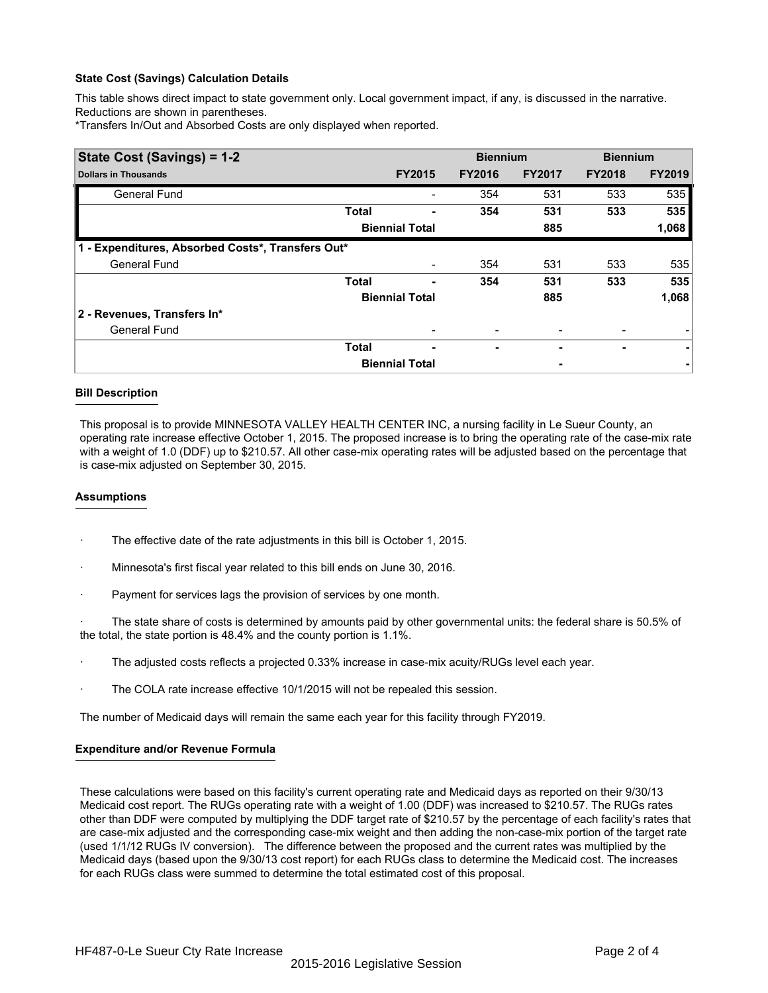### **State Cost (Savings) Calculation Details**

This table shows direct impact to state government only. Local government impact, if any, is discussed in the narrative. Reductions are shown in parentheses.

\*Transfers In/Out and Absorbed Costs are only displayed when reported.

| State Cost (Savings) = 1-2                        |              |                       |               | <b>Biennium</b>          | <b>Biennium</b> |               |  |
|---------------------------------------------------|--------------|-----------------------|---------------|--------------------------|-----------------|---------------|--|
| <b>Dollars in Thousands</b>                       |              | <b>FY2015</b>         | <b>FY2016</b> | <b>FY2017</b>            | <b>FY2018</b>   | <b>FY2019</b> |  |
| <b>General Fund</b>                               |              |                       | 354           | 531                      | 533             | 535           |  |
|                                                   | <b>Total</b> |                       | 354           | 531                      | 533             | 535           |  |
|                                                   |              | <b>Biennial Total</b> |               | 885                      |                 | 1,068         |  |
| 1 - Expenditures, Absorbed Costs*, Transfers Out* |              |                       |               |                          |                 |               |  |
| <b>General Fund</b>                               |              |                       | 354           | 531                      | 533             | 535           |  |
|                                                   | <b>Total</b> | ۰                     | 354           | 531                      | 533             | 535           |  |
|                                                   |              | <b>Biennial Total</b> |               | 885                      |                 | 1,068         |  |
| 2 - Revenues, Transfers In*                       |              |                       |               |                          |                 |               |  |
| <b>General Fund</b>                               |              |                       |               | $\overline{\phantom{0}}$ |                 |               |  |
|                                                   | <b>Total</b> | ٠                     | ۰             |                          | ۰               | ۰             |  |
|                                                   |              | <b>Biennial Total</b> |               | ٠                        |                 |               |  |

#### **Bill Description**

This proposal is to provide MINNESOTA VALLEY HEALTH CENTER INC, a nursing facility in Le Sueur County, an operating rate increase effective October 1, 2015. The proposed increase is to bring the operating rate of the case-mix rate with a weight of 1.0 (DDF) up to \$210.57. All other case-mix operating rates will be adjusted based on the percentage that is case-mix adjusted on September 30, 2015.

#### **Assumptions**

- The effective date of the rate adjustments in this bill is October 1, 2015.
- · Minnesota's first fiscal year related to this bill ends on June 30, 2016.
- Payment for services lags the provision of services by one month.

The state share of costs is determined by amounts paid by other governmental units: the federal share is 50.5% of the total, the state portion is 48.4% and the county portion is 1.1%.

- · The adjusted costs reflects a projected 0.33% increase in case-mix acuity/RUGs level each year.
- The COLA rate increase effective 10/1/2015 will not be repealed this session.

The number of Medicaid days will remain the same each year for this facility through FY2019.

#### **Expenditure and/or Revenue Formula**

These calculations were based on this facility's current operating rate and Medicaid days as reported on their 9/30/13 Medicaid cost report. The RUGs operating rate with a weight of 1.00 (DDF) was increased to \$210.57. The RUGs rates other than DDF were computed by multiplying the DDF target rate of \$210.57 by the percentage of each facility's rates that are case-mix adjusted and the corresponding case-mix weight and then adding the non-case-mix portion of the target rate (used 1/1/12 RUGs IV conversion). The difference between the proposed and the current rates was multiplied by the Medicaid days (based upon the 9/30/13 cost report) for each RUGs class to determine the Medicaid cost. The increases for each RUGs class were summed to determine the total estimated cost of this proposal.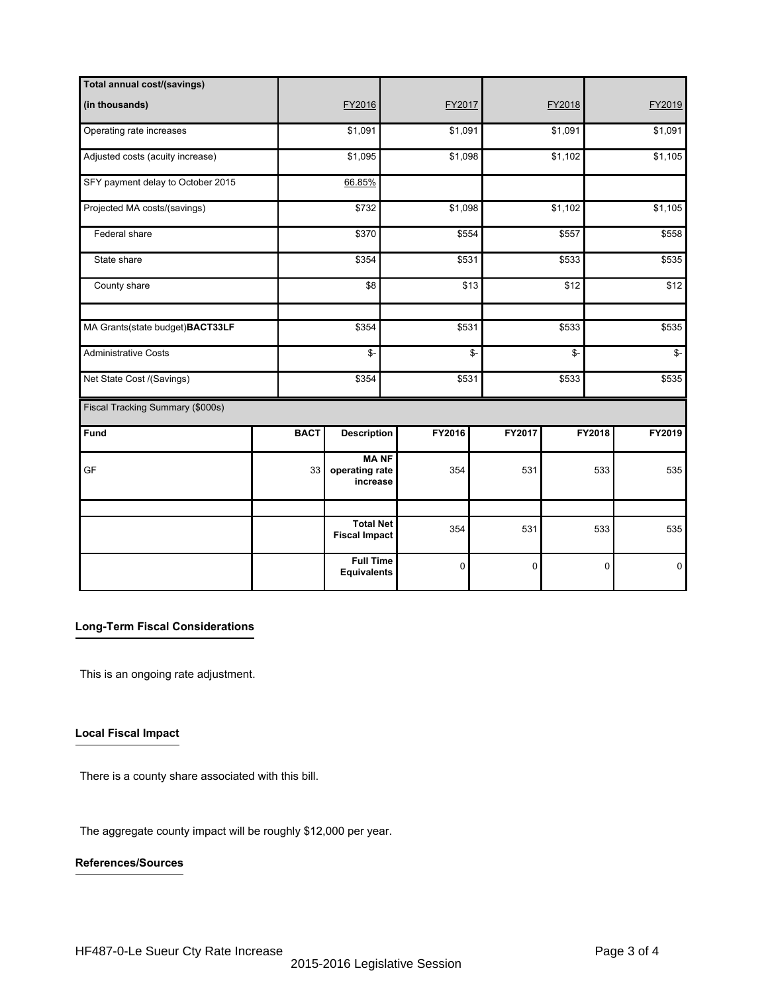| Total annual cost/(savings)       |             |                                           |         |                |         |               |             |  |
|-----------------------------------|-------------|-------------------------------------------|---------|----------------|---------|---------------|-------------|--|
| (in thousands)                    |             | FY2016                                    | FY2017  |                | FY2018  |               | FY2019      |  |
| Operating rate increases          |             | \$1,091                                   | \$1,091 |                | \$1,091 |               | \$1,091     |  |
| Adjusted costs (acuity increase)  |             | \$1,095                                   | \$1,098 |                | \$1,102 |               | \$1,105     |  |
| SFY payment delay to October 2015 |             | 66.85%                                    |         |                |         |               |             |  |
| Projected MA costs/(savings)      |             | \$732                                     | \$1,098 |                | \$1,102 |               | \$1,105     |  |
| Federal share                     |             | \$370                                     | \$554   |                | \$557   | \$558         |             |  |
| State share                       |             | \$354                                     |         | \$531<br>\$533 |         | \$535         |             |  |
| County share                      |             | \$8                                       |         | \$13           | \$12    |               | \$12        |  |
| MA Grants(state budget)BACT33LF   |             | \$354                                     | \$531   | \$533          |         | \$535         |             |  |
| <b>Administrative Costs</b>       |             | \$-                                       |         | \$-<br>\$-     |         | $\frac{2}{3}$ |             |  |
| Net State Cost /(Savings)         |             | \$354                                     | \$531   | \$533          |         | \$535         |             |  |
| Fiscal Tracking Summary (\$000s)  |             |                                           |         |                |         |               |             |  |
| Fund                              | <b>BACT</b> | <b>Description</b>                        | FY2016  | FY2017         |         | FY2018        | FY2019      |  |
| GF                                | 33          | <b>MANF</b><br>operating rate<br>increase | 354     | 531            |         | 533           | 535         |  |
|                                   |             |                                           |         |                |         |               |             |  |
|                                   |             | <b>Total Net</b><br><b>Fiscal Impact</b>  | 354     | 531            |         | 533           | 535         |  |
|                                   |             | <b>Full Time</b><br><b>Equivalents</b>    | 0       | 0              |         | $\mathbf 0$   | $\mathbf 0$ |  |

## **Long-Term Fiscal Considerations**

This is an ongoing rate adjustment.

# **Local Fiscal Impact**

There is a county share associated with this bill.

The aggregate county impact will be roughly \$12,000 per year.

# **References/Sources**